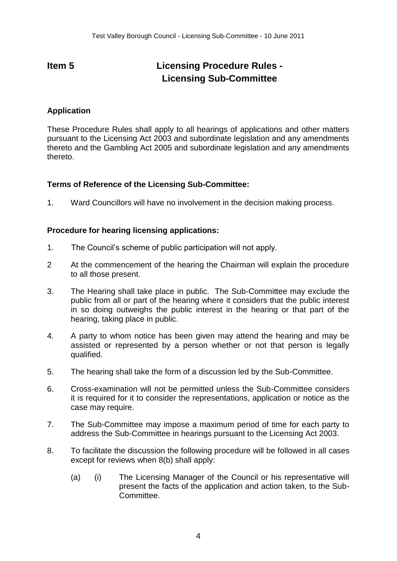## **Item 5 Licensing Procedure Rules - Licensing Sub-Committee**

## **Application**

These Procedure Rules shall apply to all hearings of applications and other matters pursuant to the Licensing Act 2003 and subordinate legislation and any amendments thereto and the Gambling Act 2005 and subordinate legislation and any amendments thereto.

## **Terms of Reference of the Licensing Sub-Committee:**

1. Ward Councillors will have no involvement in the decision making process.

## **Procedure for hearing licensing applications:**

- 1. The Council's scheme of public participation will not apply.
- 2 At the commencement of the hearing the Chairman will explain the procedure to all those present.
- 3. The Hearing shall take place in public. The Sub-Committee may exclude the public from all or part of the hearing where it considers that the public interest in so doing outweighs the public interest in the hearing or that part of the hearing, taking place in public.
- 4. A party to whom notice has been given may attend the hearing and may be assisted or represented by a person whether or not that person is legally qualified.
- 5. The hearing shall take the form of a discussion led by the Sub-Committee.
- 6. Cross-examination will not be permitted unless the Sub-Committee considers it is required for it to consider the representations, application or notice as the case may require.
- 7. The Sub-Committee may impose a maximum period of time for each party to address the Sub-Committee in hearings pursuant to the Licensing Act 2003.
- 8. To facilitate the discussion the following procedure will be followed in all cases except for reviews when 8(b) shall apply:
	- (a) (i) The Licensing Manager of the Council or his representative will present the facts of the application and action taken, to the Sub-Committee.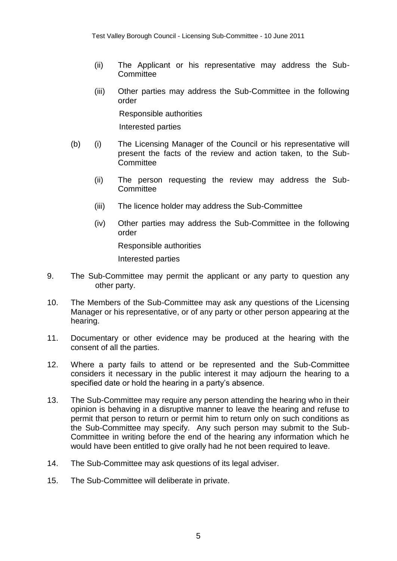- (ii) The Applicant or his representative may address the Sub-**Committee**
- (iii) Other parties may address the Sub-Committee in the following order

Responsible authorities

Interested parties

- (b) (i) The Licensing Manager of the Council or his representative will present the facts of the review and action taken, to the Sub-**Committee** 
	- (ii) The person requesting the review may address the Sub-**Committee**
	- (iii) The licence holder may address the Sub-Committee
	- (iv) Other parties may address the Sub-Committee in the following order

Responsible authorities

Interested parties

- 9. The Sub-Committee may permit the applicant or any party to question any other party.
- 10. The Members of the Sub-Committee may ask any questions of the Licensing Manager or his representative, or of any party or other person appearing at the hearing.
- 11. Documentary or other evidence may be produced at the hearing with the consent of all the parties.
- 12. Where a party fails to attend or be represented and the Sub-Committee considers it necessary in the public interest it may adjourn the hearing to a specified date or hold the hearing in a party's absence.
- 13. The Sub-Committee may require any person attending the hearing who in their opinion is behaving in a disruptive manner to leave the hearing and refuse to permit that person to return or permit him to return only on such conditions as the Sub-Committee may specify. Any such person may submit to the Sub-Committee in writing before the end of the hearing any information which he would have been entitled to give orally had he not been required to leave.
- 14. The Sub-Committee may ask questions of its legal adviser.
- 15. The Sub-Committee will deliberate in private.